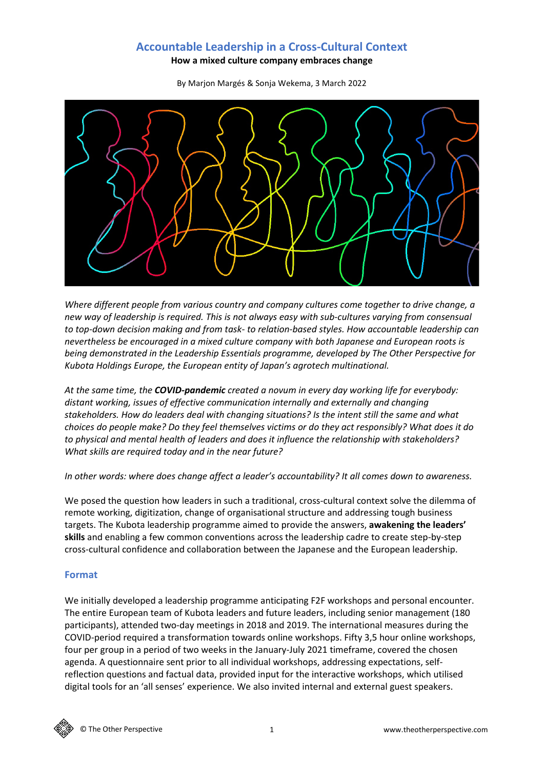# **Accountable Leadership in a Cross-Cultural Context**

**How a mixed culture company embraces change**

By Marjon Margés & Sonja Wekema, 3 March 2022



*Where different people from various country and company cultures come together to drive change, a new way of leadership is required. This is not always easy with sub-cultures varying from consensual to top-down decision making and from task- to relation-based styles. How accountable leadership can nevertheless be encouraged in a mixed culture company with both Japanese and European roots is being demonstrated in the Leadership Essentials programme, developed by The Other Perspective for Kubota Holdings Europe, the European entity of Japan's agrotech multinational.*

*At the same time, the COVID-pandemic created a novum in every day working life for everybody: distant working, issues of effective communication internally and externally and changing stakeholders. How do leaders deal with changing situations? Is the intent still the same and what choices do people make? Do they feel themselves victims or do they act responsibly? What does it do to physical and mental health of leaders and does it influence the relationship with stakeholders? What skills are required today and in the near future?*

*In other words: where does change affect a leader's accountability? It all comes down to awareness.*

We posed the question how leaders in such a traditional, cross-cultural context solve the dilemma of remote working, digitization, change of organisational structure and addressing tough business targets. The Kubota leadership programme aimed to provide the answers, **awakening the leaders' skills** and enabling a few common conventions across the leadership cadre to create step-by-step cross-cultural confidence and collaboration between the Japanese and the European leadership.

#### **Format**

We initially developed a leadership programme anticipating F2F workshops and personal encounter. The entire European team of Kubota leaders and future leaders, including senior management (180 participants), attended two-day meetings in 2018 and 2019. The international measures during the COVID-period required a transformation towards online workshops. Fifty 3,5 hour online workshops, four per group in a period of two weeks in the January-July 2021 timeframe, covered the chosen agenda. A questionnaire sent prior to all individual workshops, addressing expectations, selfreflection questions and factual data, provided input for the interactive workshops, which utilised digital tools for an 'all senses' experience. We also invited internal and external guest speakers.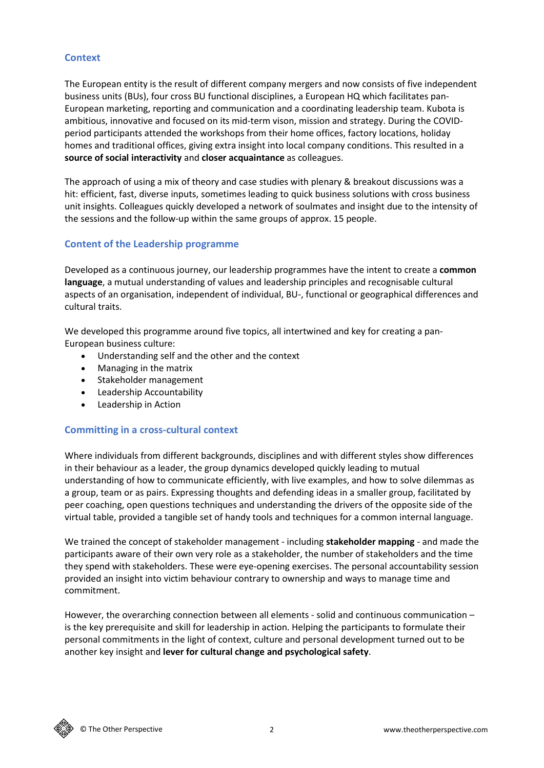## **Context**

The European entity is the result of different company mergers and now consists of five independent business units (BUs), four cross BU functional disciplines, a European HQ which facilitates pan-European marketing, reporting and communication and a coordinating leadership team. Kubota is ambitious, innovative and focused on its mid-term vison, mission and strategy. During the COVIDperiod participants attended the workshops from their home offices, factory locations, holiday homes and traditional offices, giving extra insight into local company conditions. This resulted in a **source of social interactivity** and **closer acquaintance** as colleagues.

The approach of using a mix of theory and case studies with plenary & breakout discussions was a hit: efficient, fast, diverse inputs, sometimes leading to quick business solutions with cross business unit insights. Colleagues quickly developed a network of soulmates and insight due to the intensity of the sessions and the follow-up within the same groups of approx. 15 people.

## **Content of the Leadership programme**

Developed as a continuous journey, our leadership programmes have the intent to create a **common language**, a mutual understanding of values and leadership principles and recognisable cultural aspects of an organisation, independent of individual, BU-, functional or geographical differences and cultural traits.

We developed this programme around five topics, all intertwined and key for creating a pan-European business culture:

- Understanding self and the other and the context
- Managing in the matrix
- Stakeholder management
- Leadership Accountability
- Leadership in Action

#### **Committing in a cross-cultural context**

Where individuals from different backgrounds, disciplines and with different styles show differences in their behaviour as a leader, the group dynamics developed quickly leading to mutual understanding of how to communicate efficiently, with live examples, and how to solve dilemmas as a group, team or as pairs. Expressing thoughts and defending ideas in a smaller group, facilitated by peer coaching, open questions techniques and understanding the drivers of the opposite side of the virtual table, provided a tangible set of handy tools and techniques for a common internal language.

We trained the concept of stakeholder management - including **stakeholder mapping** - and made the participants aware of their own very role as a stakeholder, the number of stakeholders and the time they spend with stakeholders. These were eye-opening exercises. The personal accountability session provided an insight into victim behaviour contrary to ownership and ways to manage time and commitment.

However, the overarching connection between all elements - solid and continuous communication – is the key prerequisite and skill for leadership in action. Helping the participants to formulate their personal commitments in the light of context, culture and personal development turned out to be another key insight and **lever for cultural change and psychological safety**.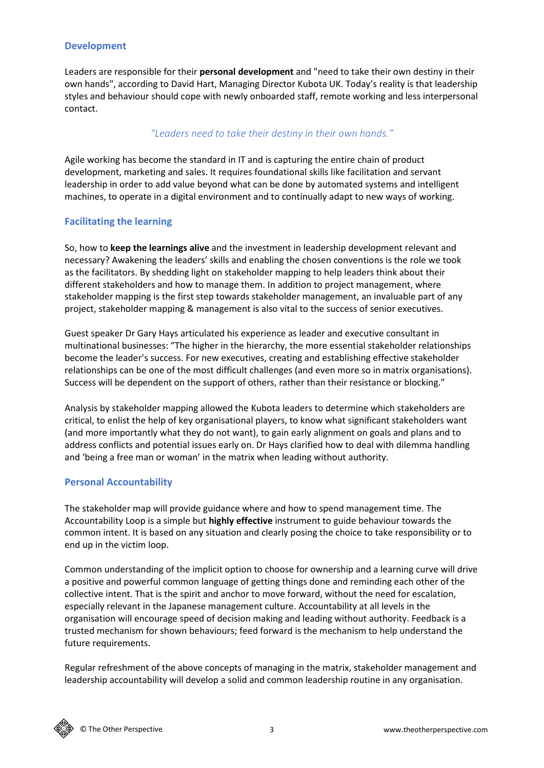### **Development**

Leaders are responsible for their **personal development** and "need to take their own destiny in their own hands", according to David Hart, Managing Director Kubota UK. Today's reality is that leadership styles and behaviour should cope with newly onboarded staff, remote working and less interpersonal contact.

# *"Leaders need to take their destiny in their own hands."*

Agile working has become the standard in IT and is capturing the entire chain of product development, marketing and sales. It requires foundational skills like facilitation and servant leadership in order to add value beyond what can be done by automated systems and intelligent machines, to operate in a digital environment and to continually adapt to new ways of working.

# **Facilitating the learning**

So, how to **keep the learnings alive** and the investment in leadership development relevant and necessary? Awakening the leaders' skills and enabling the chosen conventions is the role we took as the facilitators. By shedding light on stakeholder mapping to help leaders think about their different stakeholders and how to manage them. In addition to project management, where stakeholder mapping is the first step towards stakeholder management, an invaluable part of any project, stakeholder mapping & management is also vital to the success of senior executives.

Guest speaker Dr Gary Hays articulated his experience as leader and executive consultant in multinational businesses: "The higher in the hierarchy, the more essential stakeholder relationships become the leader's success. For new executives, creating and establishing effective stakeholder relationships can be one of the most difficult challenges (and even more so in matrix organisations). Success will be dependent on the support of others, rather than their resistance or blocking."

Analysis by stakeholder mapping allowed the Kubota leaders to determine which stakeholders are critical, to enlist the help of key organisational players, to know what significant stakeholders want (and more importantly what they do not want), to gain early alignment on goals and plans and to address conflicts and potential issues early on. Dr Hays clarified how to deal with dilemma handling and 'being a free man or woman' in the matrix when leading without authority.

## **Personal Accountability**

The stakeholder map will provide guidance where and how to spend management time. The Accountability Loop is a simple but **highly effective** instrument to guide behaviour towards the common intent. It is based on any situation and clearly posing the choice to take responsibility or to end up in the victim loop.

Common understanding of the implicit option to choose for ownership and a learning curve will drive a positive and powerful common language of getting things done and reminding each other of the collective intent. That is the spirit and anchor to move forward, without the need for escalation, especially relevant in the Japanese management culture. Accountability at all levels in the organisation will encourage speed of decision making and leading without authority. Feedback is a trusted mechanism for shown behaviours; feed forward is the mechanism to help understand the future requirements.

Regular refreshment of the above concepts of managing in the matrix, stakeholder management and leadership accountability will develop a solid and common leadership routine in any organisation.